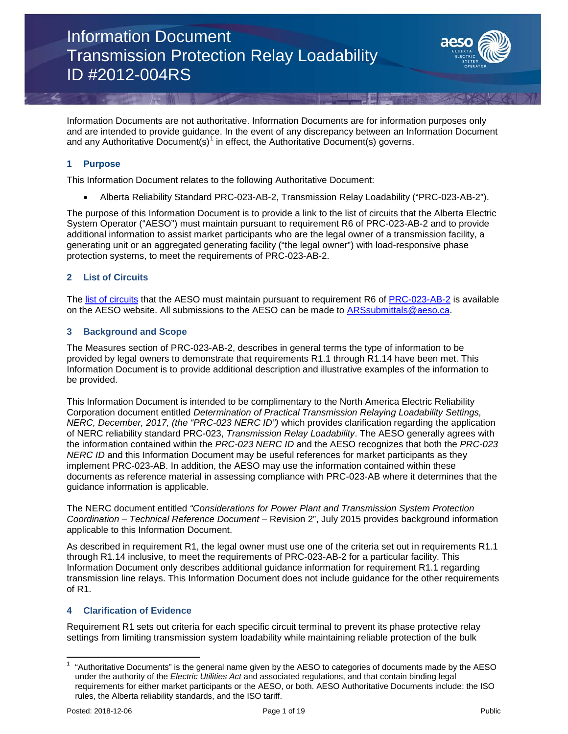

Information Documents are not authoritative. Information Documents are for information purposes only and are intended to provide guidance. In the event of any discrepancy between an Information Document and any Authoritative Document(s)<sup>[1](#page-0-0)</sup> in effect, the Authoritative Document(s) governs.

### **1 Purpose**

This Information Document relates to the following Authoritative Document:

• Alberta Reliability Standard PRC-023-AB-2, Transmission Relay Loadability ("PRC-023-AB-2").

The purpose of this Information Document is to provide a link to the list of circuits that the Alberta Electric System Operator ("AESO") must maintain pursuant to requirement R6 of PRC-023-AB-2 and to provide additional information to assist market participants who are the legal owner of a transmission facility, a generating unit or an aggregated generating facility ("the legal owner") with load-responsive phase protection systems, to meet the requirements of PRC-023-AB-2.

### **2 List of Circuits**

The [list of circuits](https://www.aeso.ca/assets/documents/List-of-Circuits-R6.1-PRC-023-AB2-2.pdf) that the AESO must maintain pursuant to requirement R6 of [PRC-023-AB-2](https://www.aeso.ca/assets/documents/PRC-023-AB-2.pdf) is available on the AESO website. All submissions to the AESO can be made to [ARSsubmittals@aeso.ca.](mailto:ARSsubmittals@aeso.ca)

### **3 Background and Scope**

The Measures section of PRC-023-AB-2, describes in general terms the type of information to be provided by legal owners to demonstrate that requirements R1.1 through R1.14 have been met. This Information Document is to provide additional description and illustrative examples of the information to be provided.

This Information Document is intended to be complimentary to the North America Electric Reliability Corporation document entitled *Determination of Practical Transmission Relaying Loadability Settings, NERC, December, 2017, (the "PRC-023 NERC ID")* which provides clarification regarding the application of NERC reliability standard PRC-023, *Transmission Relay Loadability*. The AESO generally agrees with the information contained within the *PRC-023 NERC ID* and the AESO recognizes that both the *PRC-023 NERC ID* and this Information Document may be useful references for market participants as they implement PRC-023-AB. In addition, the AESO may use the information contained within these documents as reference material in assessing compliance with PRC-023-AB where it determines that the guidance information is applicable.

The NERC document entitled *"Considerations for Power Plant and Transmission System Protection Coordination – Technical Reference Document* – Revision 2", July 2015 provides background information applicable to this Information Document.

As described in requirement R1, the legal owner must use one of the criteria set out in requirements R1.1 through R1.14 inclusive, to meet the requirements of PRC-023-AB-2 for a particular facility. This Information Document only describes additional guidance information for requirement R1.1 regarding transmission line relays. This Information Document does not include guidance for the other requirements of R1.

### **4 Clarification of Evidence**

Requirement R1 sets out criteria for each specific circuit terminal to prevent its phase protective relay settings from limiting transmission system loadability while maintaining reliable protection of the bulk

<span id="page-0-0"></span><sup>1</sup> "Authoritative Documents" is the general name given by the AESO to categories of documents made by the AESO under the authority of the *Electric Utilities Act* and associated regulations, and that contain binding legal requirements for either market participants or the AESO, or both. AESO Authoritative Documents include: the ISO rules, the Alberta reliability standards, and the ISO tariff.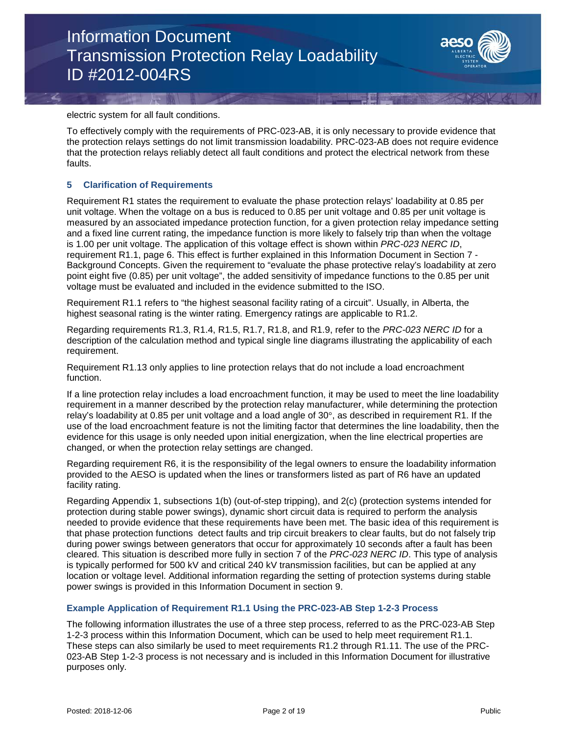

electric system for all fault conditions.

To effectively comply with the requirements of PRC-023-AB, it is only necessary to provide evidence that the protection relays settings do not limit transmission loadability. PRC-023-AB does not require evidence that the protection relays reliably detect all fault conditions and protect the electrical network from these faults.

#### **5 Clarification of Requirements**

Requirement R1 states the requirement to evaluate the phase protection relays' loadability at 0.85 per unit voltage. When the voltage on a bus is reduced to 0.85 per unit voltage and 0.85 per unit voltage is measured by an associated impedance protection function, for a given protection relay impedance setting and a fixed line current rating, the impedance function is more likely to falsely trip than when the voltage is 1.00 per unit voltage. The application of this voltage effect is shown within *PRC-023 NERC ID*, requirement R1.1, page 6. This effect is further explained in this Information Document in Section 7 - Background Concepts. Given the requirement to "evaluate the phase protective relay's loadability at zero point eight five (0.85) per unit voltage", the added sensitivity of impedance functions to the 0.85 per unit voltage must be evaluated and included in the evidence submitted to the ISO.

Requirement R1.1 refers to "the highest seasonal facility rating of a circuit". Usually, in Alberta, the highest seasonal rating is the winter rating. Emergency ratings are applicable to R1.2.

Regarding requirements R1.3, R1.4, R1.5, R1.7, R1.8, and R1.9, refer to the *PRC-023 NERC ID* for a description of the calculation method and typical single line diagrams illustrating the applicability of each requirement.

Requirement R1.13 only applies to line protection relays that do not include a load encroachment function.

If a line protection relay includes a load encroachment function, it may be used to meet the line loadability requirement in a manner described by the protection relay manufacturer, while determining the protection relay's loadability at 0.85 per unit voltage and a load angle of  $30^{\circ}$ , as described in requirement R1. If the use of the load encroachment feature is not the limiting factor that determines the line loadability, then the evidence for this usage is only needed upon initial energization, when the line electrical properties are changed, or when the protection relay settings are changed.

Regarding requirement R6, it is the responsibility of the legal owners to ensure the loadability information provided to the AESO is updated when the lines or transformers listed as part of R6 have an updated facility rating.

Regarding Appendix 1, subsections 1(b) (out-of-step tripping), and 2(c) (protection systems intended for protection during stable power swings), dynamic short circuit data is required to perform the analysis needed to provide evidence that these requirements have been met. The basic idea of this requirement is that phase protection functions detect faults and trip circuit breakers to clear faults, but do not falsely trip during power swings between generators that occur for approximately 10 seconds after a fault has been cleared. This situation is described more fully in section 7 of the *PRC-023 NERC ID*. This type of analysis is typically performed for 500 kV and critical 240 kV transmission facilities, but can be applied at any location or voltage level. Additional information regarding the setting of protection systems during stable power swings is provided in this Information Document in section 9.

#### **Example Application of Requirement R1.1 Using the PRC-023-AB Step 1-2-3 Process**

The following information illustrates the use of a three step process, referred to as the PRC-023-AB Step 1-2-3 process within this Information Document, which can be used to help meet requirement R1.1. These steps can also similarly be used to meet requirements R1.2 through R1.11. The use of the PRC-023-AB Step 1-2-3 process is not necessary and is included in this Information Document for illustrative purposes only.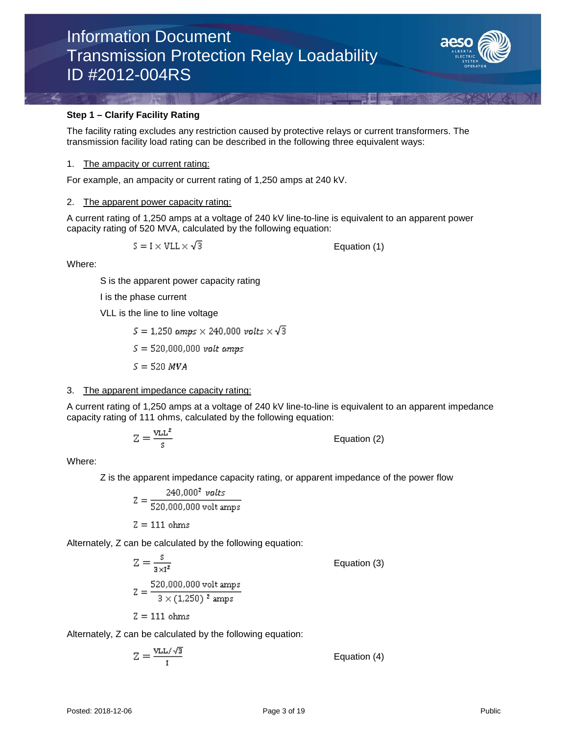

### **Step 1 – Clarify Facility Rating**

The facility rating excludes any restriction caused by protective relays or current transformers. The transmission facility load rating can be described in the following three equivalent ways:

#### 1. The ampacity or current rating:

For example, an ampacity or current rating of 1,250 amps at 240 kV.

#### 2. The apparent power capacity rating:

A current rating of 1,250 amps at a voltage of 240 kV line-to-line is equivalent to an apparent power capacity rating of 520 MVA, calculated by the following equation:

$$
S = I \times VLL \times \sqrt{3}
$$

Equation (1)

Where:

S is the apparent power capacity rating

I is the phase current

VLL is the line to line voltage

 $S = 1.250$  amps  $\times$  240,000 volts  $\times \sqrt{3}$ 

 $S = 520,000,000$  volt amps

 $S = 520$  MVA

### 3. The apparent impedance capacity rating:

A current rating of 1,250 amps at a voltage of 240 kV line-to-line is equivalent to an apparent impedance capacity rating of 111 ohms, calculated by the following equation:

$$
Z = \frac{v_{LL}^2}{s}
$$
 Equation (2)

Where:

Z is the apparent impedance capacity rating, or apparent impedance of the power flow

$$
Z = \frac{240,000^2 \text{ volts}}{520,000,000 \text{ volt} \text{amps}}
$$

$$
Z = 111 \text{ ohms}
$$

Alternately, Z can be calculated by the following equation:

$$
Z = \frac{s}{3 \times 1^2}
$$
 Equation (3)  

$$
Z = \frac{520,000,000 \text{ volt amps}}{3 \times (1,250)^2 \text{ amps}}
$$
  

$$
Z = 111 \text{ ohms}
$$

Alternately, Z can be calculated by the following equation:

$$
Z = \frac{VLL/\sqrt{3}}{I}
$$
 Equation (4)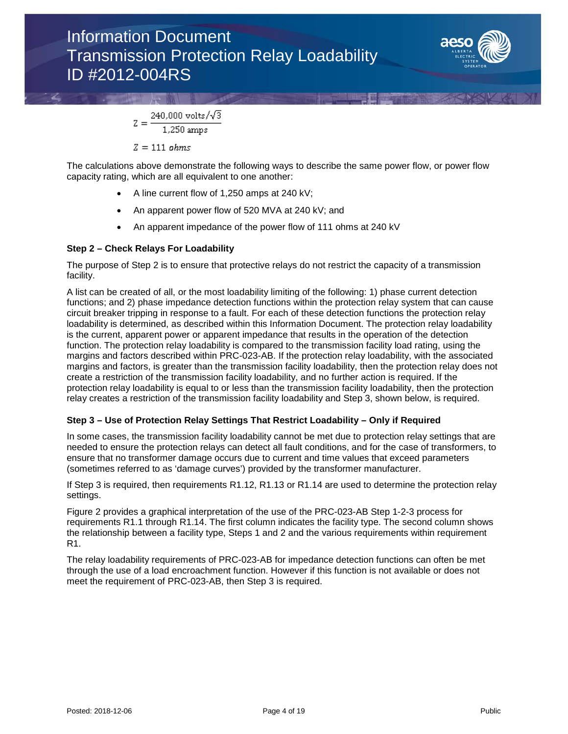

 $240,000 \text{ volts}/\sqrt{3}$  $Z = 1,250 \text{ amps}$ 

 $Z = 111$  ohms

The calculations above demonstrate the following ways to describe the same power flow, or power flow capacity rating, which are all equivalent to one another:

- A line current flow of 1,250 amps at 240 kV;
- An apparent power flow of 520 MVA at 240 kV; and
- An apparent impedance of the power flow of 111 ohms at 240 kV

### **Step 2 – Check Relays For Loadability**

The purpose of Step 2 is to ensure that protective relays do not restrict the capacity of a transmission facility.

A list can be created of all, or the most loadability limiting of the following: 1) phase current detection functions; and 2) phase impedance detection functions within the protection relay system that can cause circuit breaker tripping in response to a fault. For each of these detection functions the protection relay loadability is determined, as described within this Information Document. The protection relay loadability is the current, apparent power or apparent impedance that results in the operation of the detection function. The protection relay loadability is compared to the transmission facility load rating, using the margins and factors described within PRC-023-AB. If the protection relay loadability, with the associated margins and factors, is greater than the transmission facility loadability, then the protection relay does not create a restriction of the transmission facility loadability, and no further action is required. If the protection relay loadability is equal to or less than the transmission facility loadability, then the protection relay creates a restriction of the transmission facility loadability and Step 3, shown below, is required.

### **Step 3 – Use of Protection Relay Settings That Restrict Loadability – Only if Required**

In some cases, the transmission facility loadability cannot be met due to protection relay settings that are needed to ensure the protection relays can detect all fault conditions, and for the case of transformers, to ensure that no transformer damage occurs due to current and time values that exceed parameters (sometimes referred to as 'damage curves') provided by the transformer manufacturer.

If Step 3 is required, then requirements R1.12, R1.13 or R1.14 are used to determine the protection relay settings.

Figure 2 provides a graphical interpretation of the use of the PRC-023-AB Step 1-2-3 process for requirements R1.1 through R1.14. The first column indicates the facility type. The second column shows the relationship between a facility type, Steps 1 and 2 and the various requirements within requirement R1.

The relay loadability requirements of PRC-023-AB for impedance detection functions can often be met through the use of a load encroachment function. However if this function is not available or does not meet the requirement of PRC-023-AB, then Step 3 is required.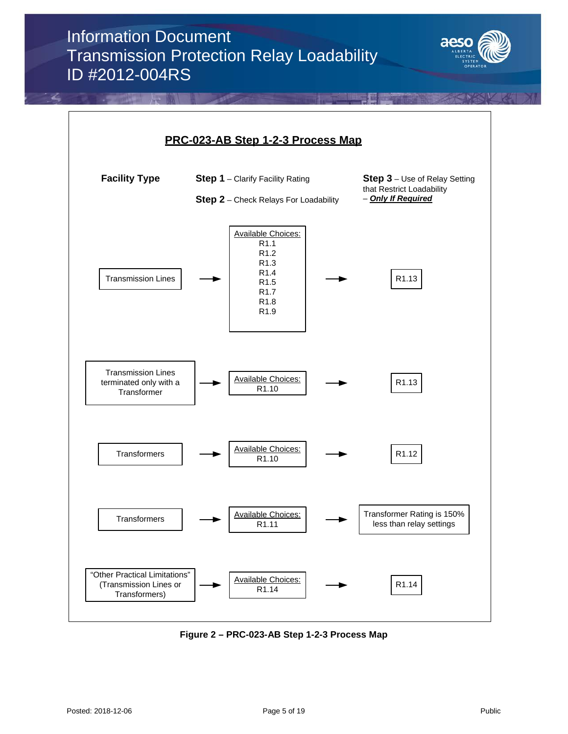



**Figure 2 – PRC-023-AB Step 1-2-3 Process Map**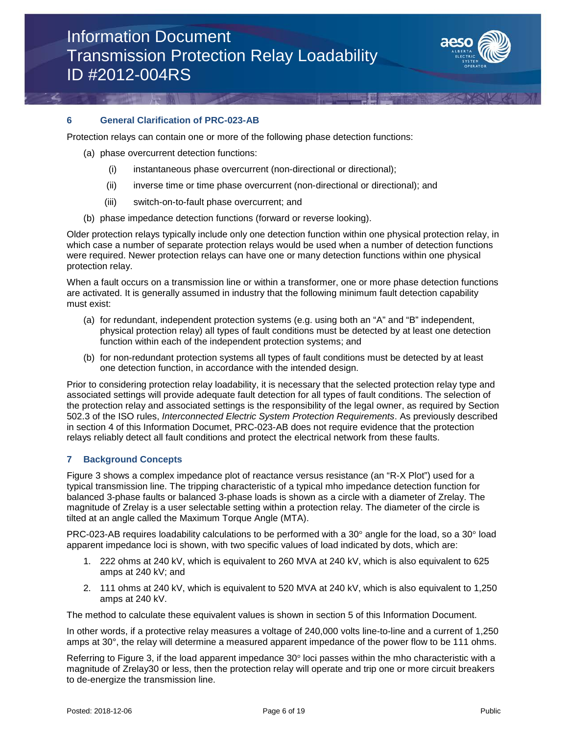

### **6 General Clarification of PRC-023-AB**

Protection relays can contain one or more of the following phase detection functions:

- (a) phase overcurrent detection functions:
	- (i) instantaneous phase overcurrent (non-directional or directional);
	- (ii) inverse time or time phase overcurrent (non-directional or directional); and
	- (iii) switch-on-to-fault phase overcurrent; and
- (b) phase impedance detection functions (forward or reverse looking).

Older protection relays typically include only one detection function within one physical protection relay, in which case a number of separate protection relays would be used when a number of detection functions were required. Newer protection relays can have one or many detection functions within one physical protection relay.

When a fault occurs on a transmission line or within a transformer, one or more phase detection functions are activated. It is generally assumed in industry that the following minimum fault detection capability must exist:

- (a) for redundant, independent protection systems (e.g. using both an "A" and "B" independent, physical protection relay) all types of fault conditions must be detected by at least one detection function within each of the independent protection systems; and
- (b) for non-redundant protection systems all types of fault conditions must be detected by at least one detection function, in accordance with the intended design.

Prior to considering protection relay loadability, it is necessary that the selected protection relay type and associated settings will provide adequate fault detection for all types of fault conditions. The selection of the protection relay and associated settings is the responsibility of the legal owner, as required by Section 502.3 of the ISO rules, *Interconnected Electric System Protection Requirements*. As previously described in section 4 of this Information Documet, PRC-023-AB does not require evidence that the protection relays reliably detect all fault conditions and protect the electrical network from these faults.

#### **7 Background Concepts**

Figure 3 shows a complex impedance plot of reactance versus resistance (an "R-X Plot") used for a typical transmission line. The tripping characteristic of a typical mho impedance detection function for balanced 3-phase faults or balanced 3-phase loads is shown as a circle with a diameter of Zrelay. The magnitude of Zrelay is a user selectable setting within a protection relay. The diameter of the circle is tilted at an angle called the Maximum Torque Angle (MTA).

PRC-023-AB requires loadability calculations to be performed with a 30° angle for the load, so a 30° load apparent impedance loci is shown, with two specific values of load indicated by dots, which are:

- 1. 222 ohms at 240 kV, which is equivalent to 260 MVA at 240 kV, which is also equivalent to 625 amps at 240 kV; and
- 2. 111 ohms at 240 kV, which is equivalent to 520 MVA at 240 kV, which is also equivalent to 1,250 amps at 240 kV.

The method to calculate these equivalent values is shown in section 5 of this Information Document.

In other words, if a protective relay measures a voltage of 240,000 volts line-to-line and a current of 1,250 amps at 30°, the relay will determine a measured apparent impedance of the power flow to be 111 ohms.

Referring to Figure 3, if the load apparent impedance 30° loci passes within the mho characteristic with a magnitude of Zrelay30 or less, then the protection relay will operate and trip one or more circuit breakers to de-energize the transmission line.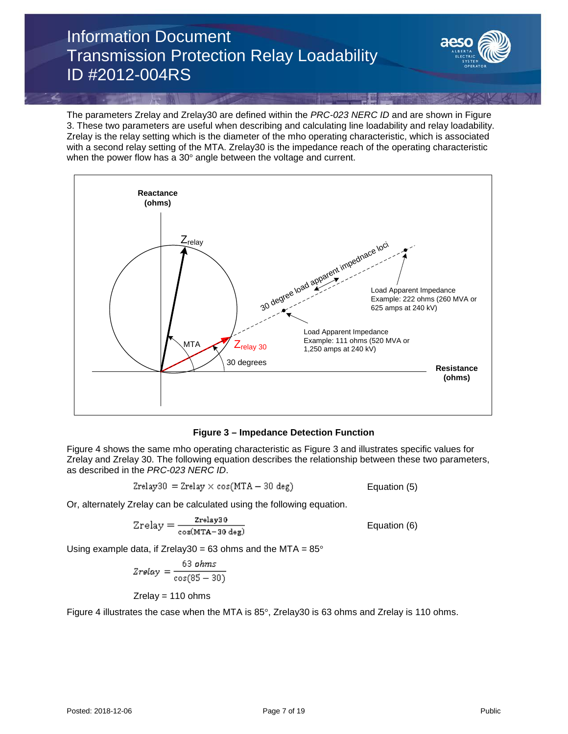

The parameters Zrelay and Zrelay30 are defined within the *PRC-023 NERC ID* and are shown in Figure 3. These two parameters are useful when describing and calculating line loadability and relay loadability. Zrelay is the relay setting which is the diameter of the mho operating characteristic, which is associated with a second relay setting of the MTA. Zrelay30 is the impedance reach of the operating characteristic when the power flow has a 30° angle between the voltage and current.



### **Figure 3 – Impedance Detection Function**

Figure 4 shows the same mho operating characteristic as Figure 3 and illustrates specific values for Zrelay and Zrelay 30. The following equation describes the relationship between these two parameters, as described in the *PRC-023 NERC ID*.

$$
Zrelay30 = Zrelay \times \cos(MTA - 30 \text{ deg})
$$
 *Equation (5)*

Or, alternately Zrelay can be calculated using the following equation.

$$
Zrelay = \frac{zrelay30}{\cos(MTA - 30 \text{ deg})}
$$
  Equation (6)

Using example data, if Zrelay30 = 63 ohms and the MTA =  $85^{\circ}$ 

$$
Zrelay = \frac{63 \text{ ohms}}{\cos(85 - 30)}
$$

 $Z$ relay = 110 ohms

Figure 4 illustrates the case when the MTA is 85°, Zrelay30 is 63 ohms and Zrelay is 110 ohms.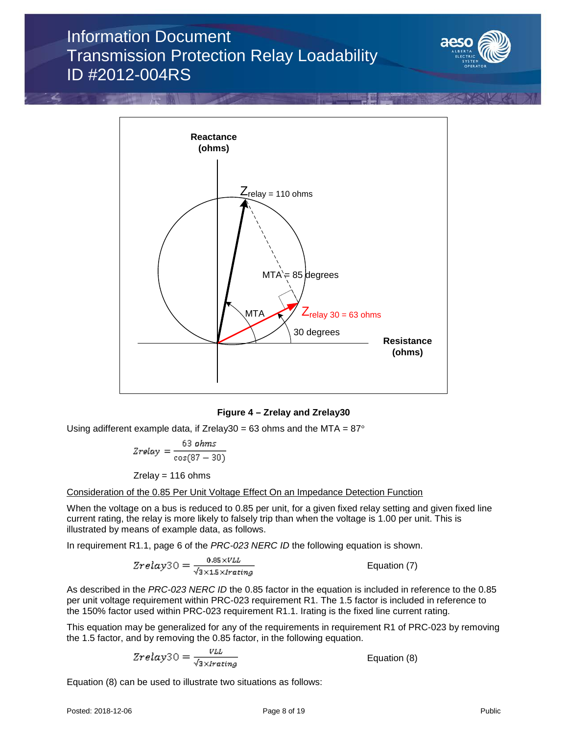



### **Figure 4 – Zrelay and Zrelay30**

Using adifferent example data, if Zrelay30 = 63 ohms and the MTA =  $87^{\circ}$ 

$$
Zrelay = \frac{63 \text{ ohms}}{\cos(87 - 30)}
$$

 $Z$ relay = 116 ohms

Consideration of the 0.85 Per Unit Voltage Effect On an Impedance Detection Function

When the voltage on a bus is reduced to 0.85 per unit, for a given fixed relay setting and given fixed line current rating, the relay is more likely to falsely trip than when the voltage is 1.00 per unit. This is illustrated by means of example data, as follows.

In requirement R1.1, page 6 of the *PRC-023 NERC ID* the following equation is shown.

$$
Zrelay30 = \frac{0.85 \times VLL}{\sqrt{3 \times 1.5 \times I \cdot \text{rating}}}
$$
   Equation (7)

As described in the *PRC-023 NERC ID* the 0.85 factor in the equation is included in reference to the 0.85 per unit voltage requirement within PRC-023 requirement R1. The 1.5 factor is included in reference to the 150% factor used within PRC-023 requirement R1.1. Irating is the fixed line current rating.

This equation may be generalized for any of the requirements in requirement R1 of PRC-023 by removing the 1.5 factor, and by removing the 0.85 factor, in the following equation.

$$
Zrelay30 = \frac{VLL}{\sqrt{3} \times Irating}
$$

Equation (8)

Equation (8) can be used to illustrate two situations as follows: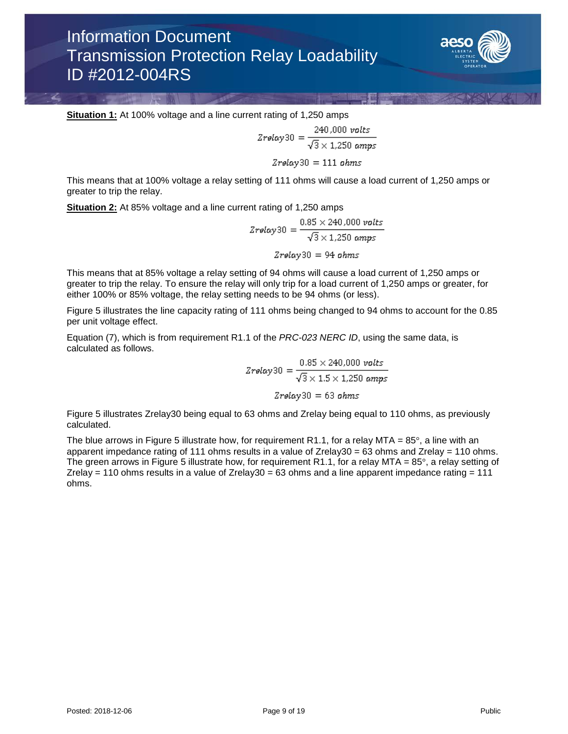

**Situation 1:** At 100% voltage and a line current rating of 1,250 amps

**AND A PARTIES** 

$$
Zrelay30 = \frac{240,000 \text{ volts}}{\sqrt{3} \times 1,250 \text{ amps}}
$$

$$
Zrelay30 = 111 \text{ ohms}
$$

This means that at 100% voltage a relay setting of 111 ohms will cause a load current of 1,250 amps or greater to trip the relay.

**Situation 2:** At 85% voltage and a line current rating of 1,250 amps

$$
Zrelay30 = \frac{0.85 \times 240,000 \text{ volts}}{\sqrt{3} \times 1,250 \text{ amps}}
$$

$$
Zrelay30 = 94 \text{ ohms}
$$

This means that at 85% voltage a relay setting of 94 ohms will cause a load current of 1,250 amps or greater to trip the relay. To ensure the relay will only trip for a load current of 1,250 amps or greater, for either 100% or 85% voltage, the relay setting needs to be 94 ohms (or less).

Figure 5 illustrates the line capacity rating of 111 ohms being changed to 94 ohms to account for the 0.85 per unit voltage effect.

Equation (7), which is from requirement R1.1 of the *PRC-023 NERC ID*, using the same data, is calculated as follows.

$$
Zrelay30 = \frac{0.85 \times 240,000 \text{ volts}}{\sqrt{3} \times 1.5 \times 1,250 \text{ amps}}
$$

$$
Zrelay30 = 63 \text{ ohms}
$$

Figure 5 illustrates Zrelay30 being equal to 63 ohms and Zrelay being equal to 110 ohms, as previously calculated.

The blue arrows in Figure 5 illustrate how, for requirement R1.1, for a relay MTA =  $85^\circ$ , a line with an apparent impedance rating of 111 ohms results in a value of Zrelay30 = 63 ohms and Zrelay = 110 ohms. The green arrows in Figure 5 illustrate how, for requirement R1.1, for a relay MTA =  $85^\circ$ , a relay setting of Zrelay = 110 ohms results in a value of Zrelay30 = 63 ohms and a line apparent impedance rating = 111 ohms.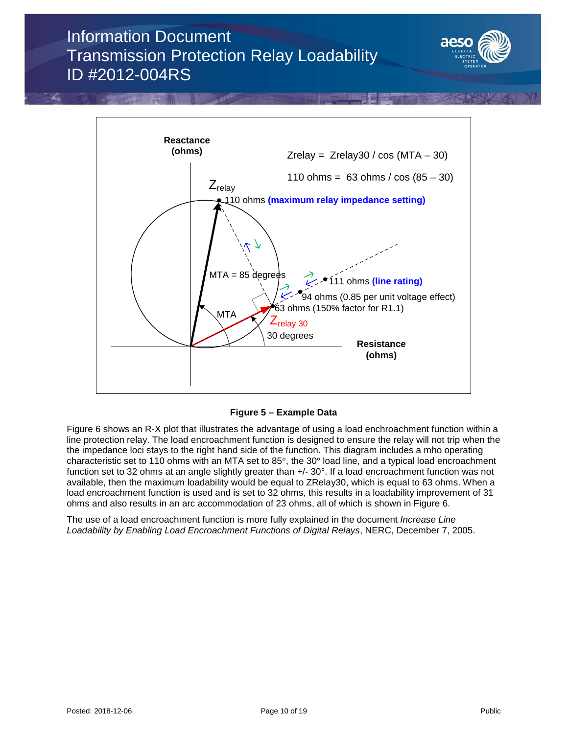



**Figure 5 – Example Data**

Figure 6 shows an R-X plot that illustrates the advantage of using a load enchroachment function within a line protection relay. The load encroachment function is designed to ensure the relay will not trip when the the impedance loci stays to the right hand side of the function. This diagram includes a mho operating characteristic set to 110 ohms with an MTA set to 85°, the 30° load line, and a typical load encroachment function set to 32 ohms at an angle slightly greater than  $+/- 30^{\circ}$ . If a load encroachment function was not available, then the maximum loadability would be equal to ZRelay30, which is equal to 63 ohms. When a load encroachment function is used and is set to 32 ohms, this results in a loadability improvement of 31 ohms and also results in an arc accommodation of 23 ohms, all of which is shown in Figure 6.

The use of a load encroachment function is more fully explained in the document *Increase Line Loadability by Enabling Load Encroachment Functions of Digital Relays*, NERC, December 7, 2005.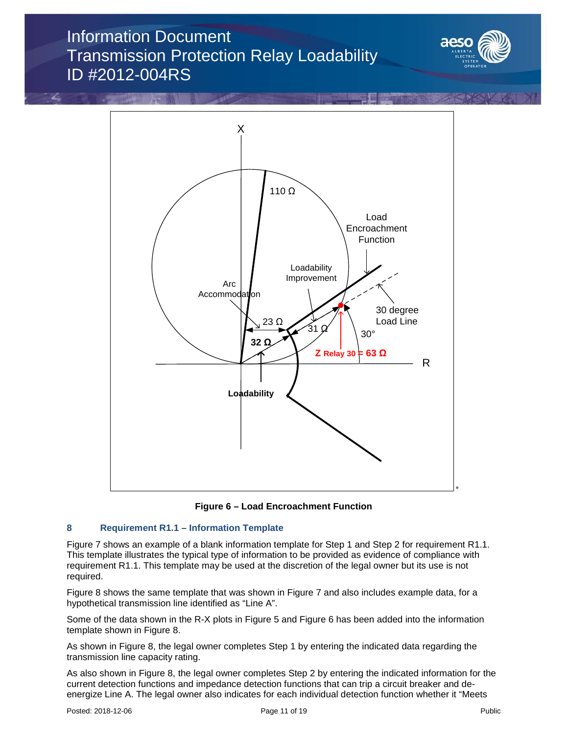





### **8 Requirement R1.1 – Information Template**

Figure 7 shows an example of a blank information template for Step 1 and Step 2 for requirement R1.1. This template illustrates the typical type of information to be provided as evidence of compliance with requirement R1.1. This template may be used at the discretion of the legal owner but its use is not required.

Figure 8 shows the same template that was shown in Figure 7 and also includes example data, for a hypothetical transmission line identified as "Line A".

Some of the data shown in the R-X plots in Figure 5 and Figure 6 has been added into the information template shown in Figure 8.

As shown in Figure 8, the legal owner completes Step 1 by entering the indicated data regarding the transmission line capacity rating.

As also shown in Figure 8, the legal owner completes Step 2 by entering the indicated information for the current detection functions and impedance detection functions that can trip a circuit breaker and deenergize Line A. The legal owner also indicates for each individual detection function whether it "Meets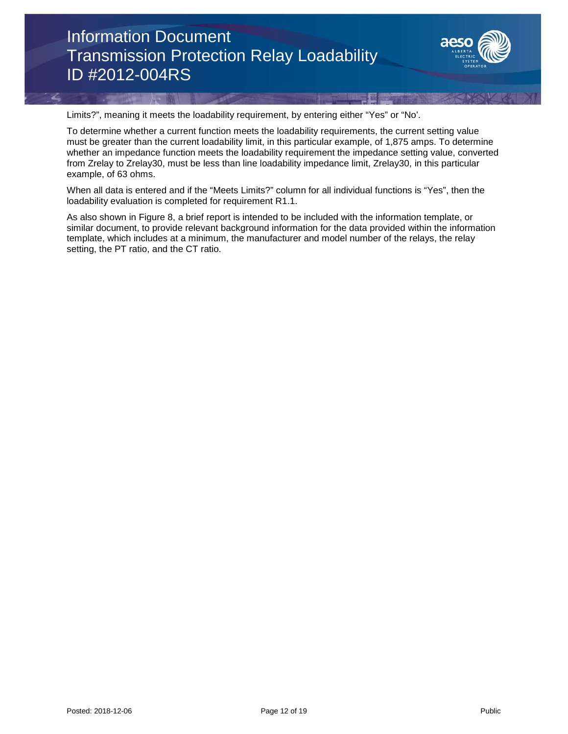

Limits?", meaning it meets the loadability requirement, by entering either "Yes" or "No'.

To determine whether a current function meets the loadability requirements, the current setting value must be greater than the current loadability limit, in this particular example, of 1,875 amps. To determine whether an impedance function meets the loadability requirement the impedance setting value, converted from Zrelay to Zrelay30, must be less than line loadability impedance limit, Zrelay30, in this particular example, of 63 ohms.

When all data is entered and if the "Meets Limits?" column for all individual functions is "Yes", then the loadability evaluation is completed for requirement R1.1.

As also shown in Figure 8, a brief report is intended to be included with the information template, or similar document, to provide relevant background information for the data provided within the information template, which includes at a minimum, the manufacturer and model number of the relays, the relay setting, the PT ratio, and the CT ratio.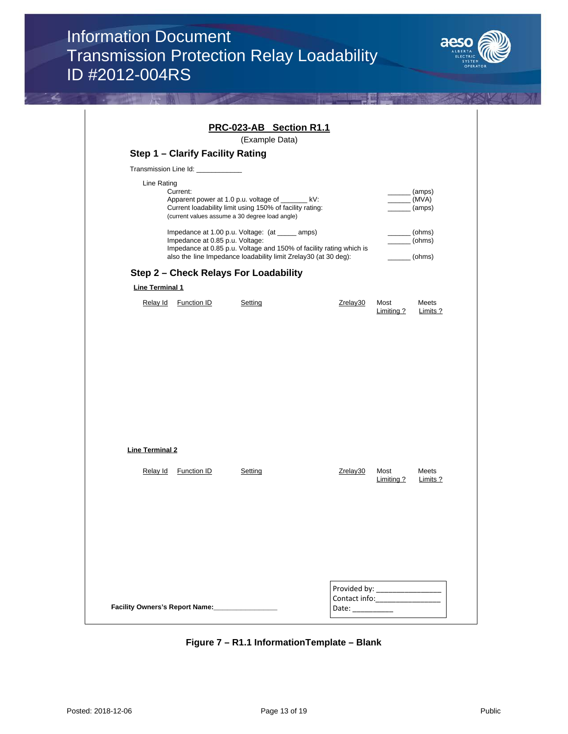

|                        |                                                | PRC-023-AB Section R1.1<br>(Example Data)                                                                                                                       |                                                                     |                    |                            |
|------------------------|------------------------------------------------|-----------------------------------------------------------------------------------------------------------------------------------------------------------------|---------------------------------------------------------------------|--------------------|----------------------------|
|                        | Step 1 - Clarify Facility Rating               |                                                                                                                                                                 |                                                                     |                    |                            |
|                        | Transmission Line Id: ____________             |                                                                                                                                                                 |                                                                     |                    |                            |
|                        | Line Rating<br>Current:                        | Apparent power at 1.0 p.u. voltage of _______ kV:<br>Current loadability limit using 150% of facility rating:<br>(current values assume a 30 degree load angle) |                                                                     |                    | (amps)<br>(MVA)<br>(amps)  |
|                        | Impedance at 0.85 p.u. Voltage:                | Impedance at 1.00 p.u. Voltage: (at _____ amps)<br>also the line Impedance loadability limit Zrelay30 (at 30 deg):                                              | Impedance at 0.85 p.u. Voltage and 150% of facility rating which is |                    | (ohms)<br>(ohms)<br>(ohms) |
|                        |                                                | Step 2 - Check Relays For Loadability                                                                                                                           |                                                                     |                    |                            |
| <b>Line Terminal 1</b> |                                                |                                                                                                                                                                 |                                                                     |                    |                            |
|                        | Relay Id Function ID                           | Setting                                                                                                                                                         | Zrelay30                                                            | Most<br>Limiting?  | Meets<br>Limits ?          |
|                        |                                                |                                                                                                                                                                 |                                                                     |                    |                            |
|                        |                                                |                                                                                                                                                                 |                                                                     |                    |                            |
|                        |                                                |                                                                                                                                                                 |                                                                     |                    |                            |
|                        |                                                |                                                                                                                                                                 |                                                                     |                    |                            |
| <b>Line Terminal 2</b> |                                                |                                                                                                                                                                 |                                                                     |                    |                            |
| Relay Id               | <b>Function ID</b>                             | Setting                                                                                                                                                         | Zrelay30                                                            | Most<br>Limiting ? | Meets<br><b>Limits ?</b>   |
|                        |                                                |                                                                                                                                                                 |                                                                     |                    |                            |
|                        |                                                |                                                                                                                                                                 |                                                                     |                    |                            |
|                        |                                                |                                                                                                                                                                 |                                                                     |                    |                            |
|                        |                                                |                                                                                                                                                                 |                                                                     |                    |                            |
|                        | Facility Owners's Report Name: _______________ |                                                                                                                                                                 |                                                                     |                    |                            |

**Figure 7 – R1.1 InformationTemplate – Blank**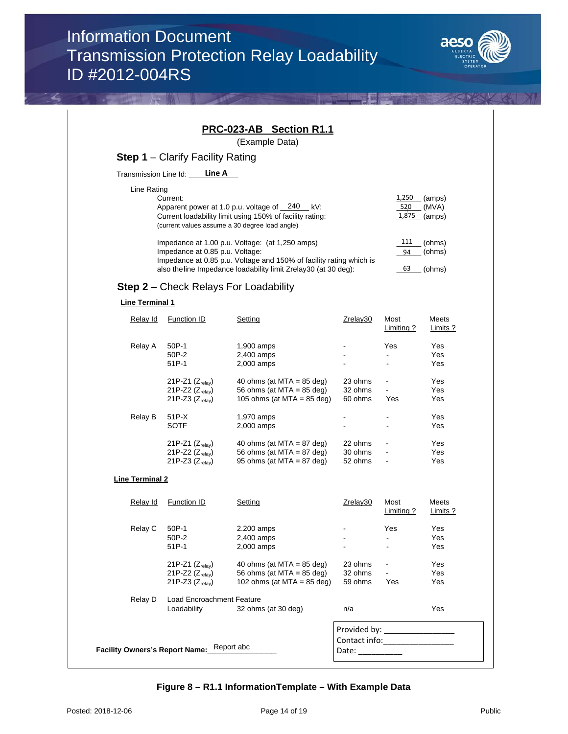

|                                |                                                                              | <b>PRC-023-AB</b> Section R1.1                                                                                                                                                            |                                                                                                                                                                                                                                                    |                                         |                            |
|--------------------------------|------------------------------------------------------------------------------|-------------------------------------------------------------------------------------------------------------------------------------------------------------------------------------------|----------------------------------------------------------------------------------------------------------------------------------------------------------------------------------------------------------------------------------------------------|-----------------------------------------|----------------------------|
|                                |                                                                              | (Example Data)                                                                                                                                                                            |                                                                                                                                                                                                                                                    |                                         |                            |
|                                | <b>Step 1</b> – Clarify Facility Rating                                      |                                                                                                                                                                                           |                                                                                                                                                                                                                                                    |                                         |                            |
| Transmission Line Id: ____     | Line A                                                                       |                                                                                                                                                                                           |                                                                                                                                                                                                                                                    |                                         |                            |
| Line Rating                    | Current:                                                                     | Apparent power at 1.0 p.u. voltage of $\frac{240}{100}$ kV:<br>Current loadability limit using 150% of facility rating:<br>(current values assume a 30 degree load angle)                 |                                                                                                                                                                                                                                                    | 1,250<br>520<br>1,875                   | (amps)<br>(MVA)<br>(amps)  |
|                                | Impedance at 0.85 p.u. Voltage:                                              | Impedance at 1.00 p.u. Voltage: (at 1,250 amps)<br>Impedance at 0.85 p.u. Voltage and 150% of facility rating which is<br>also the line Impedance loadability limit Zrelay30 (at 30 deg): |                                                                                                                                                                                                                                                    | 111<br>94<br>63                         | (ohms)<br>(ohms)<br>(ohms) |
|                                |                                                                              | <b>Step 2</b> - Check Relays For Loadability                                                                                                                                              |                                                                                                                                                                                                                                                    |                                         |                            |
| <b>Line Terminal 1</b>         |                                                                              |                                                                                                                                                                                           |                                                                                                                                                                                                                                                    |                                         |                            |
| Relay Id                       | <b>Function ID</b>                                                           | Setting                                                                                                                                                                                   | Zrelay30                                                                                                                                                                                                                                           | Most<br>Limiting?                       | Meets<br>Limits ?          |
| Relay A                        | 50P-1<br>50P-2<br>$51P-1$                                                    | 1,900 amps<br>2,400 amps<br>2,000 amps                                                                                                                                                    |                                                                                                                                                                                                                                                    | Yes<br>÷.                               | Yes<br>Yes<br>Yes          |
|                                | 21P-Z1 $(Z_{relay})$<br>$21P-Z2$ ( $Z_{relav}$ )<br>21P-Z3 $(Z_{relav})$     | 40 ohms (at MTA = $85$ deg)<br>56 ohms (at MTA = $85$ deg)<br>105 ohms (at MTA = $85$ deg)                                                                                                | 23 ohms<br>32 ohms<br>60 ohms                                                                                                                                                                                                                      | $\blacksquare$<br>$\blacksquare$<br>Yes | Yes<br>Yes<br>Yes          |
| Relay B                        | 51P-X<br><b>SOTF</b>                                                         | 1,970 amps<br>2,000 amps                                                                                                                                                                  |                                                                                                                                                                                                                                                    |                                         | Yes<br>Yes                 |
|                                | 21P-Z1 $(Z_{relav})$<br>21P-Z2 $(Z_{relav})$<br>21P-Z3 $(Z_{relav})$         | 40 ohms (at MTA = $87$ deg)<br>56 ohms (at MTA = $87$ deg)<br>95 ohms (at MTA = $87$ deg)                                                                                                 | 22 ohms<br>30 ohms<br>52 ohms                                                                                                                                                                                                                      |                                         | Yes<br>Yes<br>Yes          |
| <b>Line Terminal 2</b>         |                                                                              |                                                                                                                                                                                           |                                                                                                                                                                                                                                                    |                                         |                            |
| Relay Id                       | <b>Function ID</b>                                                           | Setting                                                                                                                                                                                   | Zrelay30                                                                                                                                                                                                                                           | Most<br><b>Limiting ?</b>               | Meets<br>Limits ?          |
| Relay C                        | 50P-1<br>50P-2<br>51P-1                                                      | 2.200 amps<br>2,400 amps<br>2,000 amps                                                                                                                                                    |                                                                                                                                                                                                                                                    | Yes<br>$\blacksquare$                   | Yes<br>Yes<br>Yes          |
|                                | 21P-Z1 $(Z_{relav})$<br>21P-Z2 (Z <sub>relay</sub> )<br>21P-Z3 $(Z_{relav})$ | 40 ohms (at MTA = $85$ deg)<br>56 ohms (at MTA = $85$ deg)<br>102 ohms (at MTA = $85$ deg)                                                                                                | 23 ohms<br>32 ohms<br>59 ohms                                                                                                                                                                                                                      | Yes                                     | Yes<br>Yes<br>Yes          |
| Relay D                        | Load Encroachment Feature<br>Loadability                                     | 32 ohms (at 30 deg)                                                                                                                                                                       | n/a                                                                                                                                                                                                                                                |                                         | Yes                        |
| Facility Owners's Report Name: |                                                                              | Report abc                                                                                                                                                                                | Provided by: The control of the control of the control of the control of the control of the control of the control of the control of the control of the control of the control of the control of the control of the control of<br>Date: __________ |                                         |                            |

**Figure 8 – R1.1 InformationTemplate – With Example Data**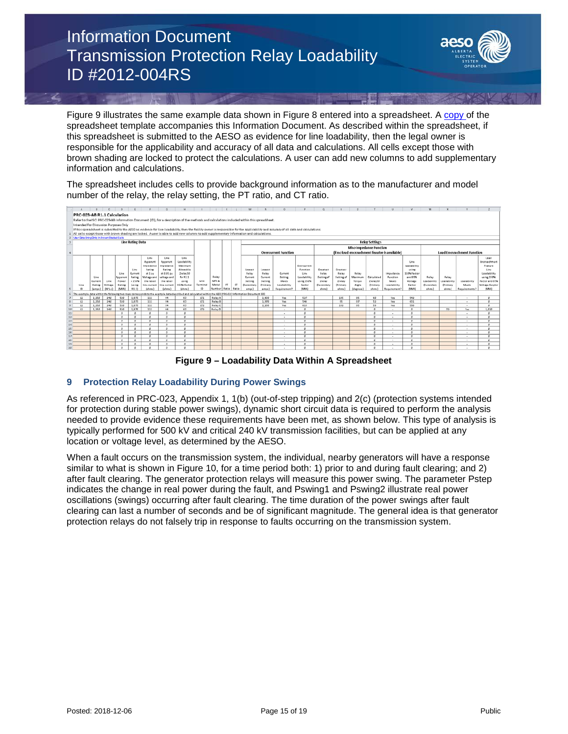

Figure 9 illustrates the same example data shown in Figure 8 entered into a spreadsheet. A [copy o](https://www.aeso.ca/assets/documents/PRC-023-4-AB-R1.1-Template-for-ID.xlsx)f the spreadsheet template accompanies this Information Document. As described within the spreadsheet, if this spreadsheet is submitted to the AESO as evidence for line loadability, then the legal owner is responsible for the applicability and accuracy of all data and calculations. All cells except those with brown shading are locked to protect the calculations. A user can add new columns to add supplementary information and calculations.

The spreadsheet includes cells to provide background information as to the manufacturer and model number of the relay, the relay setting, the PT ratio, and CT ratio.





### **9 Protection Relay Loadability During Power Swings**

As referenced in PRC-023, Appendix 1, 1(b) (out-of-step tripping) and 2(c) (protection systems intended for protection during stable power swings), dynamic short circuit data is required to perform the analysis needed to provide evidence these requirements have been met, as shown below. This type of analysis is typically performed for 500 kV and critical 240 kV transmission facilities, but can be applied at any location or voltage level, as determined by the AESO.

When a fault occurs on the transmission system, the individual, nearby generators will have a response similar to what is shown in Figure 10, for a time period both: 1) prior to and during fault clearing; and 2) after fault clearing. The generator protection relays will measure this power swing. The parameter Pstep indicates the change in real power during the fault, and Pswing1 and Pswing2 illustrate real power oscillations (swings) occurring after fault clearing. The time duration of the power swings after fault clearing can last a number of seconds and be of significant magnitude. The general idea is that generator protection relays do not falsely trip in response to faults occurring on the transmission system.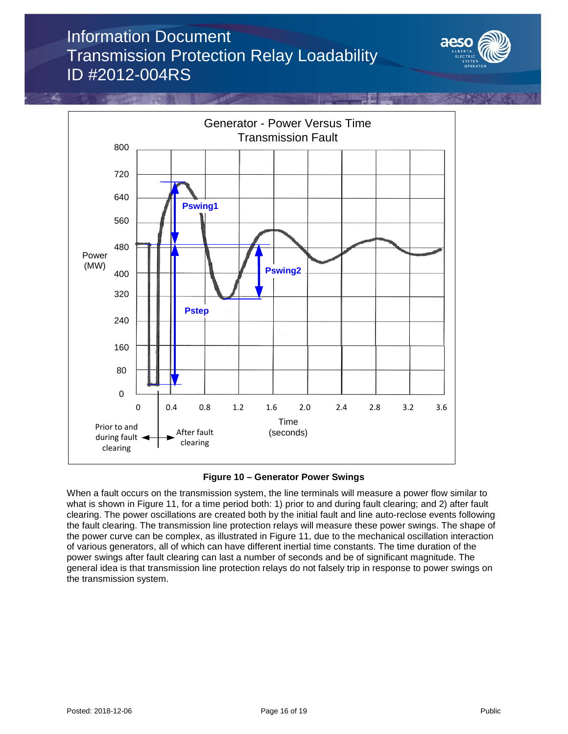





When a fault occurs on the transmission system, the line terminals will measure a power flow similar to what is shown in Figure 11, for a time period both: 1) prior to and during fault clearing; and 2) after fault clearing. The power oscillations are created both by the initial fault and line auto-reclose events following the fault clearing. The transmission line protection relays will measure these power swings. The shape of the power curve can be complex, as illustrated in Figure 11, due to the mechanical oscillation interaction of various generators, all of which can have different inertial time constants. The time duration of the power swings after fault clearing can last a number of seconds and be of significant magnitude. The general idea is that transmission line protection relays do not falsely trip in response to power swings on the transmission system.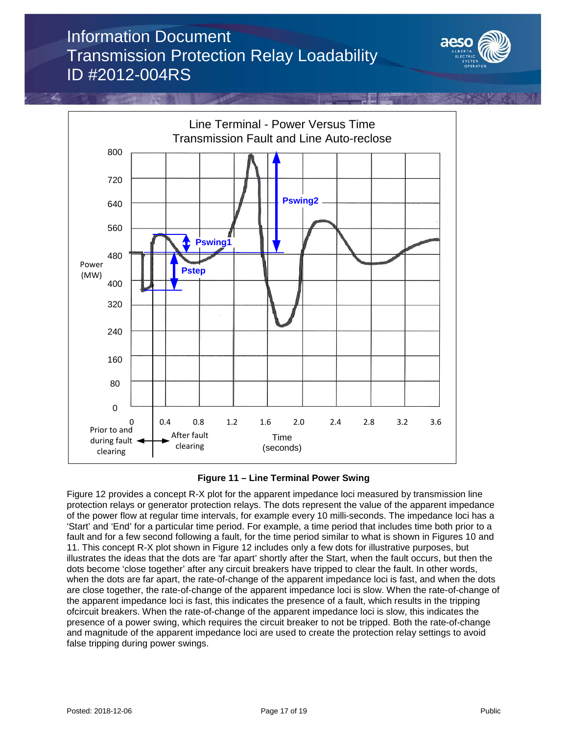





Figure 12 provides a concept R-X plot for the apparent impedance loci measured by transmission line protection relays or generator protection relays. The dots represent the value of the apparent impedance of the power flow at regular time intervals, for example every 10 milli-seconds. The impedance loci has a 'Start' and 'End' for a particular time period. For example, a time period that includes time both prior to a fault and for a few second following a fault, for the time period similar to what is shown in Figures 10 and 11. This concept R-X plot shown in Figure 12 includes only a few dots for illustrative purposes, but illustrates the ideas that the dots are 'far apart' shortly after the Start, when the fault occurs, but then the dots become 'close together' after any circuit breakers have tripped to clear the fault. In other words, when the dots are far apart, the rate-of-change of the apparent impedance loci is fast, and when the dots are close together, the rate-of-change of the apparent impedance loci is slow. When the rate-of-change of the apparent impedance loci is fast, this indicates the presence of a fault, which results in the tripping ofcircuit breakers. When the rate-of-change of the apparent impedance loci is slow, this indicates the presence of a power swing, which requires the circuit breaker to not be tripped. Both the rate-of-change and magnitude of the apparent impedance loci are used to create the protection relay settings to avoid false tripping during power swings.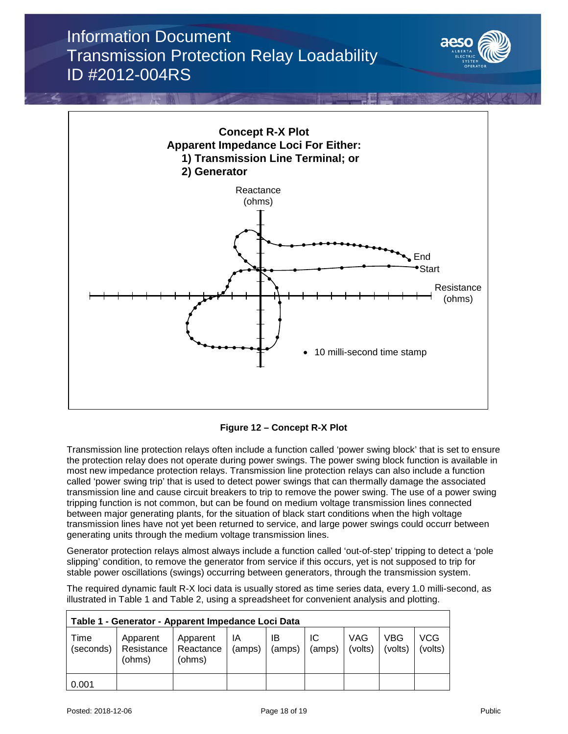



**Figure 12 – Concept R-X Plot**

Transmission line protection relays often include a function called 'power swing block' that is set to ensure the protection relay does not operate during power swings. The power swing block function is available in most new impedance protection relays. Transmission line protection relays can also include a function called 'power swing trip' that is used to detect power swings that can thermally damage the associated transmission line and cause circuit breakers to trip to remove the power swing. The use of a power swing tripping function is not common, but can be found on medium voltage transmission lines connected between major generating plants, for the situation of black start conditions when the high voltage transmission lines have not yet been returned to service, and large power swings could occurr between generating units through the medium voltage transmission lines.

Generator protection relays almost always include a function called 'out-of-step' tripping to detect a 'pole slipping' condition, to remove the generator from service if this occurs, yet is not supposed to trip for stable power oscillations (swings) occurring between generators, through the transmission system.

The required dynamic fault R-X loci data is usually stored as time series data, every 1.0 milli-second, as illustrated in Table 1 and Table 2, using a spreadsheet for convenient analysis and plotting.

| Table 1 - Generator - Apparent Impedance Loci Data |                                  |                                 |              |              |              |                       |                |                |  |
|----------------------------------------------------|----------------------------------|---------------------------------|--------------|--------------|--------------|-----------------------|----------------|----------------|--|
| Time<br>(seconds)                                  | Apparent<br>Resistance<br>(ohms) | Apparent<br>Reactance<br>(ohms) | ΙA<br>(amps) | IB<br>(amps) | IC<br>(amps) | <b>VAG</b><br>(volts) | VBG<br>(volts) | VCG<br>(volts) |  |
| 0.001                                              |                                  |                                 |              |              |              |                       |                |                |  |